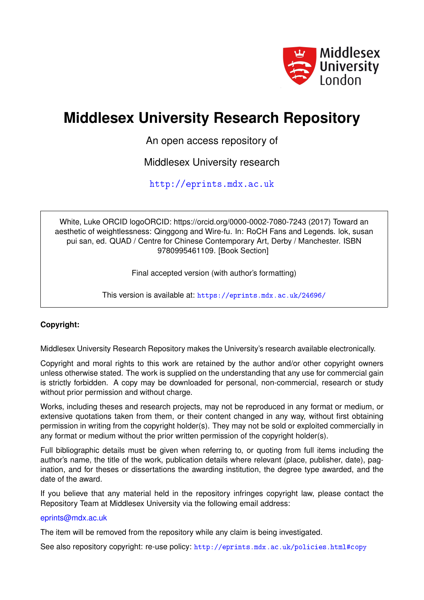

## **Middlesex University Research Repository**

An open access repository of

Middlesex University research

<http://eprints.mdx.ac.uk>

White, Luke ORCID logoORCID: https://orcid.org/0000-0002-7080-7243 (2017) Toward an aesthetic of weightlessness: Qinggong and Wire-fu. In: RoCH Fans and Legends. lok, susan pui san, ed. QUAD / Centre for Chinese Contemporary Art, Derby / Manchester. ISBN 9780995461109. [Book Section]

Final accepted version (with author's formatting)

This version is available at: <https://eprints.mdx.ac.uk/24696/>

### **Copyright:**

Middlesex University Research Repository makes the University's research available electronically.

Copyright and moral rights to this work are retained by the author and/or other copyright owners unless otherwise stated. The work is supplied on the understanding that any use for commercial gain is strictly forbidden. A copy may be downloaded for personal, non-commercial, research or study without prior permission and without charge.

Works, including theses and research projects, may not be reproduced in any format or medium, or extensive quotations taken from them, or their content changed in any way, without first obtaining permission in writing from the copyright holder(s). They may not be sold or exploited commercially in any format or medium without the prior written permission of the copyright holder(s).

Full bibliographic details must be given when referring to, or quoting from full items including the author's name, the title of the work, publication details where relevant (place, publisher, date), pagination, and for theses or dissertations the awarding institution, the degree type awarded, and the date of the award.

If you believe that any material held in the repository infringes copyright law, please contact the Repository Team at Middlesex University via the following email address:

### [eprints@mdx.ac.uk](mailto:eprints@mdx.ac.uk)

The item will be removed from the repository while any claim is being investigated.

See also repository copyright: re-use policy: <http://eprints.mdx.ac.uk/policies.html#copy>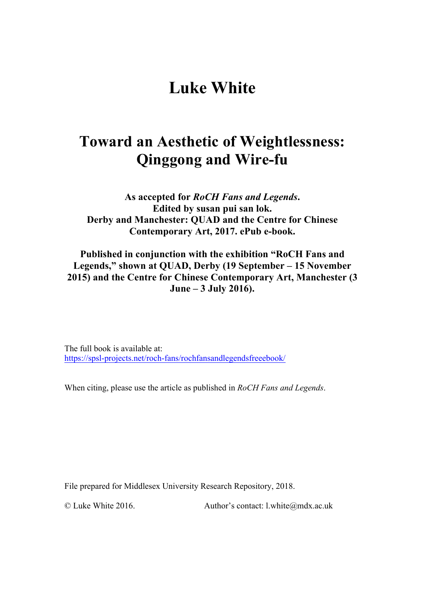# **Luke White**

## **Toward an Aesthetic of Weightlessness: Qinggong and Wire-fu**

**As accepted for** *RoCH Fans and Legends***. Edited by susan pui san lok. Derby and Manchester: QUAD and the Centre for Chinese Contemporary Art, 2017. ePub e-book.**

**Published in conjunction with the exhibition "RoCH Fans and Legends," shown at QUAD, Derby (19 September – 15 November 2015) and the Centre for Chinese Contemporary Art, Manchester (3 June – 3 July 2016).**

The full book is available at: https://spsl-projects.net/roch-fans/rochfansandlegendsfreeebook/

When citing, please use the article as published in *RoCH Fans and Legends*.

File prepared for Middlesex University Research Repository, 2018.

© Luke White 2016. Author's contact: l.white@mdx.ac.uk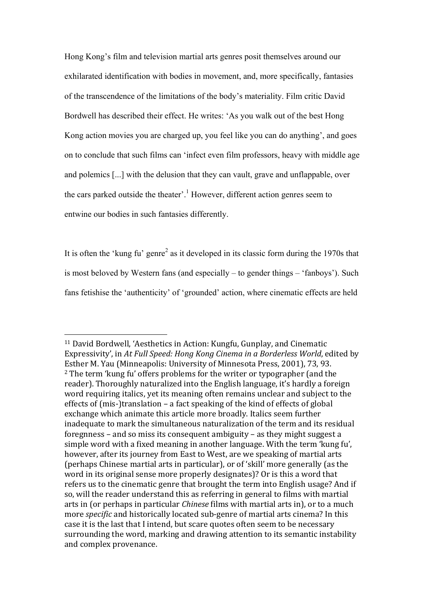Hong Kong's film and television martial arts genres posit themselves around our exhilarated identification with bodies in movement, and, more specifically, fantasies of the transcendence of the limitations of the body's materiality. Film critic David Bordwell has described their effect. He writes: 'As you walk out of the best Hong Kong action movies you are charged up, you feel like you can do anything', and goes on to conclude that such films can 'infect even film professors, heavy with middle age and polemics [...] with the delusion that they can vault, grave and unflappable, over the cars parked outside the theater'.<sup>1</sup> However, different action genres seem to entwine our bodies in such fantasies differently.

It is often the 'kung fu' genre<sup>2</sup> as it developed in its classic form during the 1970s that is most beloved by Western fans (and especially – to gender things – 'fanboys'). Such fans fetishise the 'authenticity' of 'grounded' action, where cinematic effects are held

<sup>&</sup>lt;sup>11</sup> David Bordwell, 'Aesthetics in Action: Kungfu, Gunplay, and Cinematic Expressivity', in At Full Speed: Hong Kong Cinema in a Borderless World, edited by Esther M. Yau (Minneapolis: University of Minnesota Press, 2001), 73, 93.  $2$  The term 'kung fu' offers problems for the writer or typographer (and the reader). Thoroughly naturalized into the English language, it's hardly a foreign word requiring italics, yet its meaning often remains unclear and subject to the effects of (mis-)translation  $-$  a fact speaking of the kind of effects of global exchange which animate this article more broadly. Italics seem further inadequate to mark the simultaneous naturalization of the term and its residual foregnness – and so miss its consequent ambiguity – as they might suggest a simple word with a fixed meaning in another language. With the term 'kung fu', however, after its journey from East to West, are we speaking of martial arts (perhaps Chinese martial arts in particular), or of 'skill' more generally (as the word in its original sense more properly designates)? Or is this a word that refers us to the cinematic genre that brought the term into English usage? And if so, will the reader understand this as referring in general to films with martial arts in (or perhaps in particular *Chinese* films with martial arts in), or to a much more *specific* and historically located sub-genre of martial arts cinema? In this case it is the last that I intend, but scare quotes often seem to be necessary surrounding the word, marking and drawing attention to its semantic instability and complex provenance.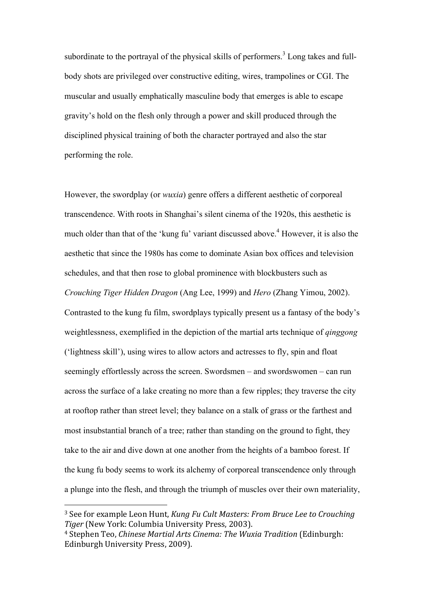subordinate to the portraval of the physical skills of performers.<sup>3</sup> Long takes and fullbody shots are privileged over constructive editing, wires, trampolines or CGI. The muscular and usually emphatically masculine body that emerges is able to escape gravity's hold on the flesh only through a power and skill produced through the disciplined physical training of both the character portrayed and also the star performing the role.

However, the swordplay (or *wuxia*) genre offers a different aesthetic of corporeal transcendence. With roots in Shanghai's silent cinema of the 1920s, this aesthetic is much older than that of the 'kung fu' variant discussed above. <sup>4</sup> However, it is also the aesthetic that since the 1980s has come to dominate Asian box offices and television schedules, and that then rose to global prominence with blockbusters such as *Crouching Tiger Hidden Dragon* (Ang Lee, 1999) and *Hero* (Zhang Yimou, 2002). Contrasted to the kung fu film, swordplays typically present us a fantasy of the body's weightlessness, exemplified in the depiction of the martial arts technique of *qinggong* ('lightness skill'), using wires to allow actors and actresses to fly, spin and float seemingly effortlessly across the screen. Swordsmen – and swordswomen – can run across the surface of a lake creating no more than a few ripples; they traverse the city at rooftop rather than street level; they balance on a stalk of grass or the farthest and most insubstantial branch of a tree; rather than standing on the ground to fight, they take to the air and dive down at one another from the heights of a bamboo forest. If the kung fu body seems to work its alchemy of corporeal transcendence only through a plunge into the flesh, and through the triumph of muscles over their own materiality,

<sup>&</sup>lt;sup>3</sup> See for example Leon Hunt, *Kung Fu Cult Masters: From Bruce Lee to Crouching* Tiger (New York: Columbia University Press, 2003).

<sup>&</sup>lt;sup>4</sup> Stephen Teo, *Chinese Martial Arts Cinema: The Wuxia Tradition* (Edinburgh: Edinburgh University Press, 2009).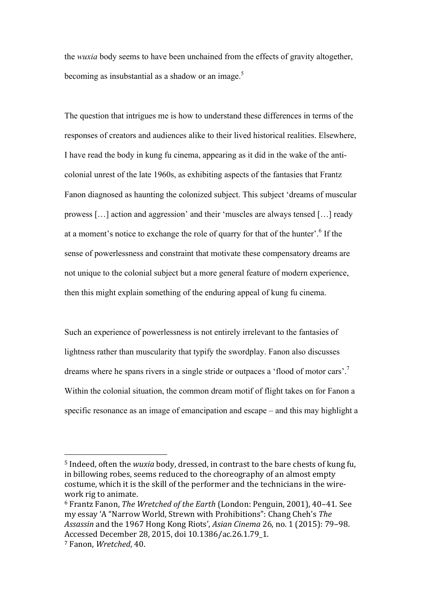the *wuxia* body seems to have been unchained from the effects of gravity altogether, becoming as insubstantial as a shadow or an image.<sup>5</sup>

The question that intrigues me is how to understand these differences in terms of the responses of creators and audiences alike to their lived historical realities. Elsewhere, I have read the body in kung fu cinema, appearing as it did in the wake of the anticolonial unrest of the late 1960s, as exhibiting aspects of the fantasies that Frantz Fanon diagnosed as haunting the colonized subject. This subject 'dreams of muscular prowess […] action and aggression' and their 'muscles are always tensed […] ready at a moment's notice to exchange the role of quarry for that of the hunter'. <sup>6</sup> If the sense of powerlessness and constraint that motivate these compensatory dreams are not unique to the colonial subject but a more general feature of modern experience, then this might explain something of the enduring appeal of kung fu cinema.

Such an experience of powerlessness is not entirely irrelevant to the fantasies of lightness rather than muscularity that typify the swordplay. Fanon also discusses dreams where he spans rivers in a single stride or outpaces a 'flood of motor cars'.<sup>7</sup> Within the colonial situation, the common dream motif of flight takes on for Fanon a specific resonance as an image of emancipation and escape – and this may highlight a

<sup>&</sup>lt;sup>5</sup> Indeed, often the *wuxia* body, dressed, in contrast to the bare chests of kung fu, in billowing robes, seems reduced to the choreography of an almost empty costume, which it is the skill of the performer and the technicians in the wirework rig to animate.

<sup>&</sup>lt;sup>6</sup> Frantz Fanon, *The Wretched of the Earth* (London: Penguin, 2001), 40-41. See my essay 'A "Narrow World, Strewn with Prohibitions": Chang Cheh's The *Assassin* and the 1967 Hong Kong Riots', *Asian Cinema* 26, no. 1 (2015): 79-98. Accessed December 28, 2015, doi 10.1386/ac.26.1.79\_1.

<sup>&</sup>lt;sup>7</sup> Fanon, *Wretched*, 40.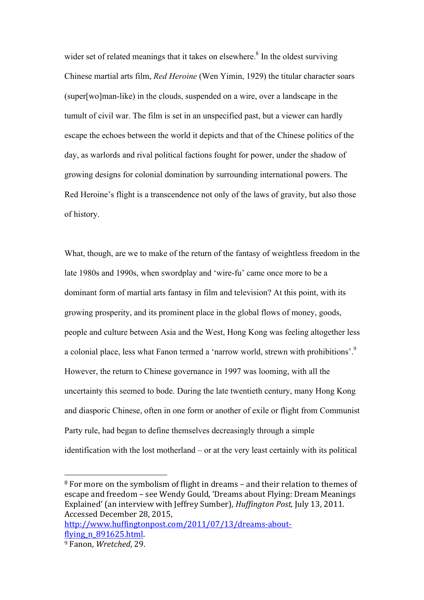wider set of related meanings that it takes on elsewhere.<sup>8</sup> In the oldest surviving Chinese martial arts film, *Red Heroine* (Wen Yimin, 1929) the titular character soars (super[wo]man-like) in the clouds, suspended on a wire, over a landscape in the tumult of civil war. The film is set in an unspecified past, but a viewer can hardly escape the echoes between the world it depicts and that of the Chinese politics of the day, as warlords and rival political factions fought for power, under the shadow of growing designs for colonial domination by surrounding international powers. The Red Heroine's flight is a transcendence not only of the laws of gravity, but also those of history.

What, though, are we to make of the return of the fantasy of weightless freedom in the late 1980s and 1990s, when swordplay and 'wire-fu' came once more to be a dominant form of martial arts fantasy in film and television? At this point, with its growing prosperity, and its prominent place in the global flows of money, goods, people and culture between Asia and the West, Hong Kong was feeling altogether less a colonial place, less what Fanon termed a 'narrow world, strewn with prohibitions'.<sup>9</sup> However, the return to Chinese governance in 1997 was looming, with all the uncertainty this seemed to bode. During the late twentieth century, many Hong Kong and diasporic Chinese, often in one form or another of exile or flight from Communist Party rule, had began to define themselves decreasingly through a simple identification with the lost motherland – or at the very least certainly with its political

 $8$  For more on the symbolism of flight in dreams – and their relation to themes of escape and freedom – see Wendy Gould, 'Dreams about Flying: Dream Meanings Explained' (an interview with Jeffrey Sumber), *Huffington Post*, July 13, 2011. Accessed December 28, 2015,

http://www.huffingtonpost.com/2011/07/13/dreams-aboutflying n 891625.html.

<sup>&</sup>lt;sup>9</sup> Fanon, *Wretched*, 29.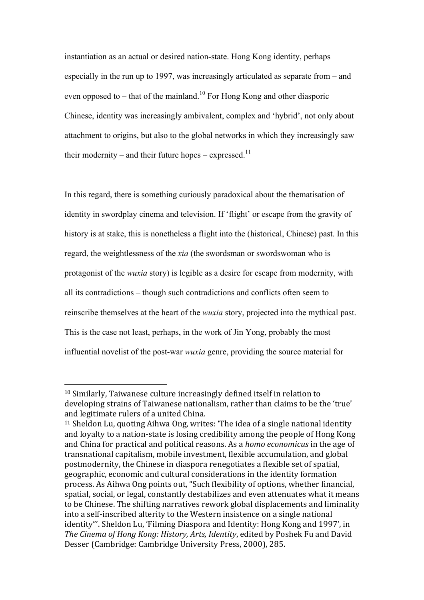instantiation as an actual or desired nation-state. Hong Kong identity, perhaps especially in the run up to 1997, was increasingly articulated as separate from – and even opposed to – that of the mainland.<sup>10</sup> For Hong Kong and other diasporic Chinese, identity was increasingly ambivalent, complex and 'hybrid', not only about attachment to origins, but also to the global networks in which they increasingly saw their modernity – and their future hopes – expressed.<sup>11</sup>

In this regard, there is something curiously paradoxical about the thematisation of identity in swordplay cinema and television. If 'flight' or escape from the gravity of history is at stake, this is nonetheless a flight into the (historical, Chinese) past. In this regard, the weightlessness of the *xia* (the swordsman or swordswoman who is protagonist of the *wuxia* story) is legible as a desire for escape from modernity, with all its contradictions – though such contradictions and conflicts often seem to reinscribe themselves at the heart of the *wuxia* story, projected into the mythical past. This is the case not least, perhaps, in the work of Jin Yong, probably the most influential novelist of the post-war *wuxia* genre, providing the source material for

 $10$  Similarly. Taiwanese culture increasingly defined itself in relation to developing strains of Taiwanese nationalism, rather than claims to be the 'true' and legitimate rulers of a united China.

 $11$  Sheldon Lu, quoting Aihwa Ong, writes: 'The idea of a single national identity and loyalty to a nation-state is losing credibility among the people of Hong Kong and China for practical and political reasons. As a *homo economicus* in the age of transnational capitalism, mobile investment, flexible accumulation, and global postmodernity, the Chinese in diaspora renegotiates a flexible set of spatial, geographic, economic and cultural considerations in the identity formation process. As Aihwa Ong points out, "Such flexibility of options, whether financial. spatial, social, or legal, constantly destabilizes and even attenuates what it means to be Chinese. The shifting narratives rework global displacements and liminality into a self-inscribed alterity to the Western insistence on a single national identity"'. Sheldon Lu, 'Filming Diaspora and Identity: Hong Kong and 1997', in The Cinema of Hong Kong: History, Arts, Identity, edited by Poshek Fu and David Desser (Cambridge: Cambridge University Press, 2000), 285.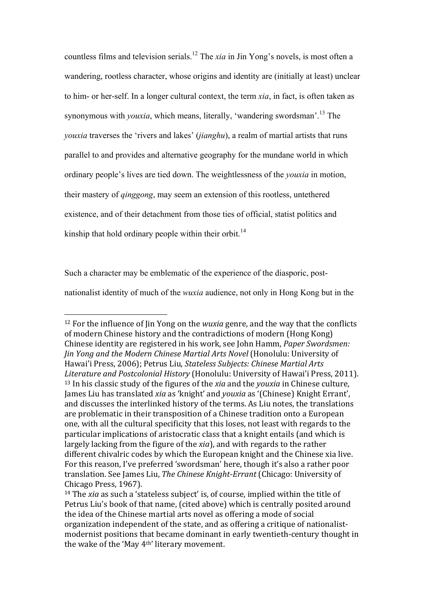countless films and television serials. <sup>12</sup> The *xia* in Jin Yong's novels, is most often a wandering, rootless character, whose origins and identity are (initially at least) unclear to him- or her-self. In a longer cultural context, the term *xia*, in fact, is often taken as synonymous with *youxia*, which means, literally, 'wandering swordsman'.<sup>13</sup> The *youxia* traverses the 'rivers and lakes' (*jianghu*), a realm of martial artists that runs parallel to and provides and alternative geography for the mundane world in which ordinary people's lives are tied down. The weightlessness of the *youxia* in motion, their mastery of *qinggong*, may seem an extension of this rootless, untethered existence, and of their detachment from those ties of official, statist politics and kinship that hold ordinary people within their orbit.<sup>14</sup>

Such a character may be emblematic of the experience of the diasporic, post-

 $\overline{a}$ 

nationalist identity of much of the *wuxia* audience, not only in Hong Kong but in the

<sup>&</sup>lt;sup>12</sup> For the influence of Jin Yong on the *wuxia* genre, and the way that the conflicts of modern Chinese history and the contradictions of modern (Hong Kong) Chinese identity are registered in his work, see John Hamm, *Paper Swordsmen: Jin Yong and the Modern Chinese Martial Arts Novel* (Honolulu: University of Hawai'i Press, 2006); Petrus Liu, *Stateless Subiects: Chinese Martial Arts Literature and Postcolonial History* (Honolulu: University of Hawai'i Press, 2011). <sup>13</sup> In his classic study of the figures of the *xia* and the *youxia* in Chinese culture, James Liu has translated *xig* as 'knight' and *youxig* as '(Chinese) Knight Errant', and discusses the interlinked history of the terms. As Liu notes, the translations are problematic in their transposition of a Chinese tradition onto a European one, with all the cultural specificity that this loses, not least with regards to the particular implications of aristocratic class that a knight entails (and which is largely lacking from the figure of the *xia*), and with regards to the rather different chivalric codes by which the European knight and the Chinese xia live. For this reason, I've preferred 'swordsman' here, though it's also a rather poor translation. See James Liu, *The Chinese Knight-Errant* (Chicago: University of Chicago Press, 1967).

<sup>&</sup>lt;sup>14</sup> The *xia* as such a 'stateless subject' is, of course, implied within the title of Petrus Liu's book of that name, (cited above) which is centrally posited around the idea of the Chinese martial arts novel as offering a mode of social organization independent of the state, and as offering a critique of nationalistmodernist positions that became dominant in early twentieth-century thought in the wake of the 'May 4<sup>th'</sup> literary movement.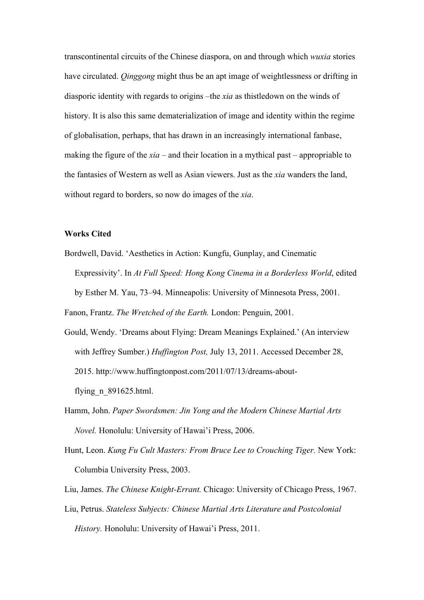transcontinental circuits of the Chinese diaspora, on and through which *wuxia* stories have circulated. *Qinggong* might thus be an apt image of weightlessness or drifting in diasporic identity with regards to origins –the *xia* as thistledown on the winds of history. It is also this same dematerialization of image and identity within the regime of globalisation, perhaps, that has drawn in an increasingly international fanbase, making the figure of the *xia* – and their location in a mythical past – appropriable to the fantasies of Western as well as Asian viewers. Just as the *xia* wanders the land, without regard to borders, so now do images of the *xia*.

#### **Works Cited**

Bordwell, David. 'Aesthetics in Action: Kungfu, Gunplay, and Cinematic Expressivity'. In *At Full Speed: Hong Kong Cinema in a Borderless World*, edited by Esther M. Yau, 73–94. Minneapolis: University of Minnesota Press, 2001.

Fanon, Frantz. *The Wretched of the Earth.* London: Penguin, 2001.

- Gould, Wendy. 'Dreams about Flying: Dream Meanings Explained.' (An interview with Jeffrey Sumber.) *Huffington Post,* July 13, 2011. Accessed December 28, 2015. http://www.huffingtonpost.com/2011/07/13/dreams-aboutflying\_n\_891625.html.
- Hamm, John. *Paper Swordsmen: Jin Yong and the Modern Chinese Martial Arts Novel.* Honolulu: University of Hawai'i Press, 2006.
- Hunt, Leon. *Kung Fu Cult Masters: From Bruce Lee to Crouching Tiger.* New York: Columbia University Press, 2003.
- Liu, James. *The Chinese Knight-Errant.* Chicago: University of Chicago Press, 1967.
- Liu, Petrus. *Stateless Subjects: Chinese Martial Arts Literature and Postcolonial History.* Honolulu: University of Hawai'i Press, 2011.